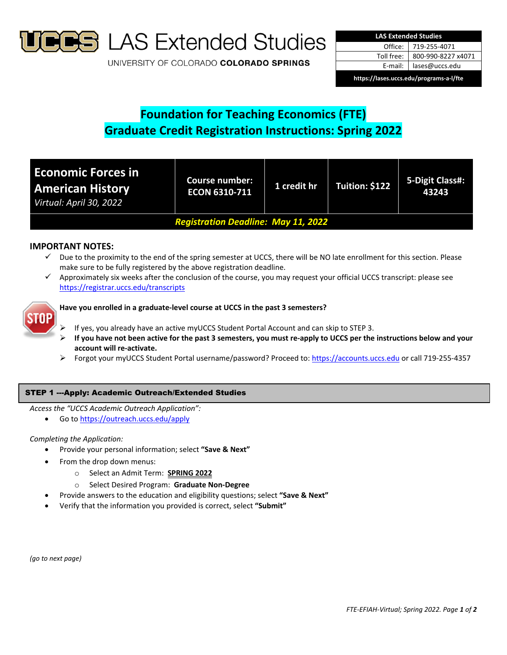

**S** LAS Extended Studies

UNIVERSITY OF COLORADO COLORADO SPRINGS

| <b>LAS Extended Studies</b>             |                    |  |  |  |
|-----------------------------------------|--------------------|--|--|--|
| Office:                                 | 719-255-4071       |  |  |  |
| Toll free:                              | 800-990-8227 x4071 |  |  |  |
| E-mail:                                 | lases@uccs.edu     |  |  |  |
| https://lases.uccs.edu/programs-a-l/fte |                    |  |  |  |

# **Foundation for Teaching Economics (FTE) Graduate Credit Registration Instructions: Spring 2022**

| <b>Economic Forces in</b><br><b>American History</b><br>Virtual: April 30, 2022 | <b>Course number:</b><br><b>ECON 6310-711</b> | 1 credit hr | Tuition: \$122 | 5-Digit Class#:<br>43243 |  |
|---------------------------------------------------------------------------------|-----------------------------------------------|-------------|----------------|--------------------------|--|
| <b>Registration Deadline: May 11, 2022</b>                                      |                                               |             |                |                          |  |

# **IMPORTANT NOTES:**

- $\checkmark$  Due to the proximity to the end of the spring semester at UCCS, there will be NO late enrollment for this section. Please make sure to be fully registered by the above registration deadline.
- Approximately six weeks after the conclusion of the course, you may request your official UCCS transcript: please see https://registrar.uccs.edu/transcripts



## **Have you enrolled in a graduate‐level course at UCCS in the past 3 semesters?**

- If yes, you already have an active myUCCS Student Portal Account and can skip to STEP 3.
- If you have not been active for the past 3 semesters, you must re-apply to UCCS per the instructions below and your **account will re‐activate.**
- Forgot your myUCCS Student Portal username/password? Proceed to: https://accounts.uccs.edu or call 719‐255‐4357

## STEP 1 ---Apply: Academic Outreach/Extended Studies

*Access the "UCCS Academic Outreach Application":*

Go to https://outreach.uccs.edu/apply

### *Completing the Application:*

- Provide your personal information; select **"Save & Next"**
- From the drop down menus:
	- o Select an Admit Term: **SPRING 2022**
	- o Select Desired Program: **Graduate Non‐Degree**
- Provide answers to the education and eligibility questions; select **"Save & Next"**
- Verify that the information you provided is correct, select **"Submit"**

*(go to next page)*